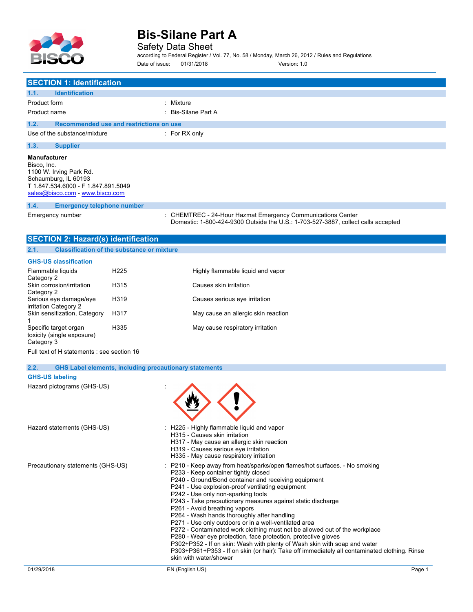

Safety Data Sheet

according to Federal Register / Vol. 77, No. 58 / Monday, March 26, 2012 / Rules and Regulations Date of issue: 01/31/2018 Version: 1.0

| <b>SECTION 1: Identification</b>                                                                                                                                |                                                               |                                                                                                                                                |
|-----------------------------------------------------------------------------------------------------------------------------------------------------------------|---------------------------------------------------------------|------------------------------------------------------------------------------------------------------------------------------------------------|
| <b>Identification</b><br>1.1.                                                                                                                                   |                                                               |                                                                                                                                                |
| Product form                                                                                                                                                    |                                                               | : Mixture                                                                                                                                      |
| Product name                                                                                                                                                    |                                                               | <b>Bis-Silane Part A</b>                                                                                                                       |
| 1.2.                                                                                                                                                            | Recommended use and restrictions on use                       |                                                                                                                                                |
| Use of the substance/mixture                                                                                                                                    |                                                               | : For RX only                                                                                                                                  |
| 1.3.<br><b>Supplier</b>                                                                                                                                         |                                                               |                                                                                                                                                |
| <b>Manufacturer</b><br>Bisco, Inc.<br>1100 W. Irving Park Rd.<br>Schaumburg, IL 60193<br>T 1.847.534.6000 - F 1.847.891.5049<br>sales@bisco.com - www.bisco.com |                                                               |                                                                                                                                                |
| 1.4.<br><b>Emergency telephone number</b>                                                                                                                       |                                                               |                                                                                                                                                |
| Emergency number                                                                                                                                                |                                                               | CHEMTREC - 24-Hour Hazmat Emergency Communications Center<br>Domestic: 1-800-424-9300 Outside the U.S.: 1-703-527-3887, collect calls accepted |
| <b>SECTION 2: Hazard(s) identification</b>                                                                                                                      |                                                               |                                                                                                                                                |
| 2.1.                                                                                                                                                            | <b>Classification of the substance or mixture</b>             |                                                                                                                                                |
| <b>GHS-US classification</b>                                                                                                                                    |                                                               |                                                                                                                                                |
| Flammable liquids<br>Category 2                                                                                                                                 | H <sub>225</sub>                                              | Highly flammable liquid and vapor                                                                                                              |
| Skin corrosion/irritation<br>Category 2                                                                                                                         | H315                                                          | Causes skin irritation                                                                                                                         |
| Serious eye damage/eye<br>irritation Category 2                                                                                                                 | H319                                                          | Causes serious eye irritation                                                                                                                  |
| Skin sensitization, Category                                                                                                                                    | H317                                                          | May cause an allergic skin reaction                                                                                                            |
| Specific target organ<br>toxicity (single exposure)<br>Category 3                                                                                               | H335                                                          | May cause respiratory irritation                                                                                                               |
| Full text of H statements : see section 16                                                                                                                      |                                                               |                                                                                                                                                |
| 2.2.                                                                                                                                                            | <b>GHS Label elements, including precautionary statements</b> |                                                                                                                                                |
| <b>GHS-US labeling</b>                                                                                                                                          |                                                               |                                                                                                                                                |
| Hazard pictograms (GHS-US)                                                                                                                                      |                                                               |                                                                                                                                                |

01/29/2018 EN (English US) Page 1 Hazard statements (GHS-US) : H225 - Highly flammable liquid and vapor H315 - Causes skin irritation H317 - May cause an allergic skin reaction H319 - Causes serious eye irritation H335 - May cause respiratory irritation Precautionary statements (GHS-US) : P210 - Keep away from heat/sparks/open flames/hot surfaces. - No smoking P233 - Keep container tightly closed P240 - Ground/Bond container and receiving equipment P241 - Use explosion-proof ventilating equipment P242 - Use only non-sparking tools P243 - Take precautionary measures against static discharge P261 - Avoid breathing vapors P264 - Wash hands thoroughly after handling P271 - Use only outdoors or in a well-ventilated area P272 - Contaminated work clothing must not be allowed out of the workplace P280 - Wear eye protection, face protection, protective gloves P302+P352 - If on skin: Wash with plenty of Wash skin with soap and water P303+P361+P353 - If on skin (or hair): Take off immediately all contaminated clothing. Rinse skin with water/shower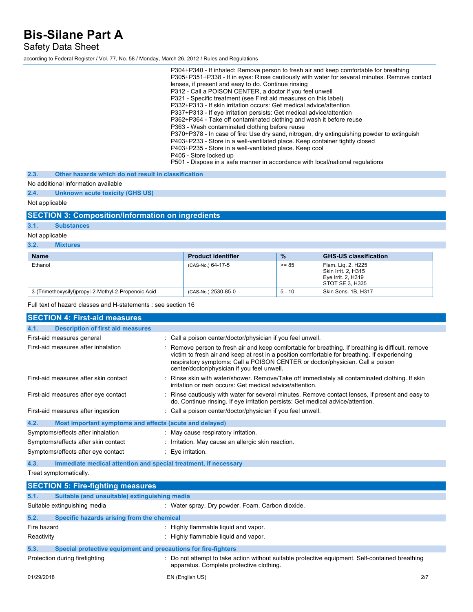Safety Data Sheet

according to Federal Register / Vol. 77, No. 58 / Monday, March 26, 2012 / Rules and Regulations

| P304+P340 - If inhaled: Remove person to fresh air and keep comfortable for breathing<br>P305+P351+P338 - If in eyes: Rinse cautiously with water for several minutes. Remove contact<br>lenses, if present and easy to do. Continue rinsing<br>P312 - Call a POISON CENTER, a doctor if you feel unwell<br>P321 - Specific treatment (see First aid measures on this label)<br>P332+P313 - If skin irritation occurs: Get medical advice/attention<br>P337+P313 - If eye irritation persists: Get medical advice/attention<br>P362+P364 - Take off contaminated clothing and wash it before reuse<br>P363 - Wash contaminated clothing before reuse<br>P370+P378 - In case of fire: Use dry sand, nitrogen, dry extinguishing powder to extinguish<br>P403+P233 - Store in a well-ventilated place. Keep container tightly closed<br>P403+P235 - Store in a well-ventilated place. Keep cool<br>P405 - Store locked up<br>P501 - Dispose in a safe manner in accordance with local/national regulations |
|----------------------------------------------------------------------------------------------------------------------------------------------------------------------------------------------------------------------------------------------------------------------------------------------------------------------------------------------------------------------------------------------------------------------------------------------------------------------------------------------------------------------------------------------------------------------------------------------------------------------------------------------------------------------------------------------------------------------------------------------------------------------------------------------------------------------------------------------------------------------------------------------------------------------------------------------------------------------------------------------------------|
|----------------------------------------------------------------------------------------------------------------------------------------------------------------------------------------------------------------------------------------------------------------------------------------------------------------------------------------------------------------------------------------------------------------------------------------------------------------------------------------------------------------------------------------------------------------------------------------------------------------------------------------------------------------------------------------------------------------------------------------------------------------------------------------------------------------------------------------------------------------------------------------------------------------------------------------------------------------------------------------------------------|

**2.3. Other hazards which do not result in classification**

### No additional information available

**2.4. Unknown acute toxicity (GHS US)**

## Not applicable

## **SECTION 3: Composition/Information on ingredients**

## **3.1. Substances**

Not applicable

### **3.2. Mixtures**

| <b>Name</b>                                         | <b>Product identifier</b> | $\frac{9}{6}$ | <b>GHS-US classification</b>                                                       |
|-----------------------------------------------------|---------------------------|---------------|------------------------------------------------------------------------------------|
| Ethanol                                             | (CAS-No.) 64-17-5         | $>= 85$       | Flam. Lig. 2, H225<br>Skin Irrit. 2. H315<br>Eye Irrit. 2, H319<br>STOT SE 3. H335 |
| 3-(Trimethoxysilyl)propyl-2-Methyl-2-Propenoic Acid | (CAS-No.) 2530-85-0       | $5 - 10$      | Skin Sens. 1B, H317                                                                |

Full text of hazard classes and H-statements : see section 16

| <b>SECTION 4: First-aid measures</b>                                                                                                                                                                                                                                                                  |                                                                                                                                                                                                                                                                                                                                   |
|-------------------------------------------------------------------------------------------------------------------------------------------------------------------------------------------------------------------------------------------------------------------------------------------------------|-----------------------------------------------------------------------------------------------------------------------------------------------------------------------------------------------------------------------------------------------------------------------------------------------------------------------------------|
| <b>Description of first aid measures</b><br>4.1.                                                                                                                                                                                                                                                      |                                                                                                                                                                                                                                                                                                                                   |
| First-aid measures general                                                                                                                                                                                                                                                                            | : Call a poison center/doctor/physician if you feel unwell.                                                                                                                                                                                                                                                                       |
| First-aid measures after inhalation                                                                                                                                                                                                                                                                   | Remove person to fresh air and keep comfortable for breathing. If breathing is difficult, remove<br>victim to fresh air and keep at rest in a position comfortable for breathing. If experiencing<br>respiratory symptoms: Call a POISON CENTER or doctor/physician. Call a poison<br>center/doctor/physician if you feel unwell. |
| First-aid measures after skin contact                                                                                                                                                                                                                                                                 | : Rinse skin with water/shower. Remove/Take off immediately all contaminated clothing. If skin<br>irritation or rash occurs: Get medical advice/attention.                                                                                                                                                                        |
| First-aid measures after eye contact                                                                                                                                                                                                                                                                  | : Rinse cautiously with water for several minutes. Remove contact lenses, if present and easy to<br>do. Continue rinsing. If eye irritation persists: Get medical advice/attention.                                                                                                                                               |
| First-aid measures after ingestion                                                                                                                                                                                                                                                                    | : Call a poison center/doctor/physician if you feel unwell.                                                                                                                                                                                                                                                                       |
| 4.2.<br>Most important symptoms and effects (acute and delayed)                                                                                                                                                                                                                                       |                                                                                                                                                                                                                                                                                                                                   |
| Symptoms/effects after inhalation                                                                                                                                                                                                                                                                     | : May cause respiratory irritation.                                                                                                                                                                                                                                                                                               |
| Symptoms/effects after skin contact                                                                                                                                                                                                                                                                   | : Irritation. May cause an allergic skin reaction.                                                                                                                                                                                                                                                                                |
| Symptoms/effects after eye contact                                                                                                                                                                                                                                                                    | $: Eye$ irritation.                                                                                                                                                                                                                                                                                                               |
| 4.3.<br>Immediate medical attention and special treatment, if necessary                                                                                                                                                                                                                               |                                                                                                                                                                                                                                                                                                                                   |
| Treat symptomatically.                                                                                                                                                                                                                                                                                |                                                                                                                                                                                                                                                                                                                                   |
| $C$ $C$ $T$ $C$ $N$ $E$ ; $E$ ; $\mu$ , $E$ ; $\mu$ , $\mu$ , $\mu$ , $\mu$ , $\mu$ , $\mu$ , $\mu$ , $\mu$ , $\mu$ , $\mu$ , $\mu$ , $\mu$ , $\mu$ , $\mu$ , $\mu$ , $\mu$ , $\mu$ , $\mu$ , $\mu$ , $\mu$ , $\mu$ , $\mu$ , $\mu$ , $\mu$ , $\mu$ , $\mu$ , $\mu$ , $\mu$ , $\mu$ , $\mu$ , $\mu$ , |                                                                                                                                                                                                                                                                                                                                   |

|             | <b>POECTION 3. FIFE-HYMNING INCODER</b>                        |                                                                                                                                             |
|-------------|----------------------------------------------------------------|---------------------------------------------------------------------------------------------------------------------------------------------|
| 5.1.        | Suitable (and unsuitable) extinguishing media                  |                                                                                                                                             |
|             | Suitable extinguishing media                                   | : Water spray. Dry powder. Foam. Carbon dioxide.                                                                                            |
| 5.2.        | Specific hazards arising from the chemical                     |                                                                                                                                             |
| Fire hazard |                                                                | : Highly flammable liquid and vapor.                                                                                                        |
| Reactivity  |                                                                | : Highly flammable liquid and vapor.                                                                                                        |
| 5.3.        | Special protective equipment and precautions for fire-fighters |                                                                                                                                             |
|             | Protection during firefighting                                 | : Do not attempt to take action without suitable protective equipment. Self-contained breathing<br>apparatus. Complete protective clothing. |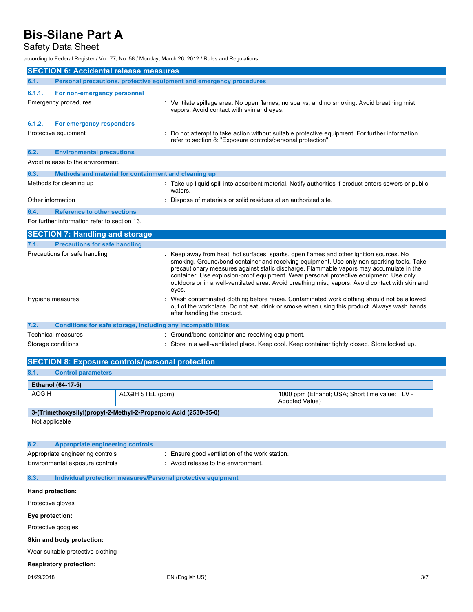# Safety Data Sheet

according to Federal Register / Vol. 77, No. 58 / Monday, March 26, 2012 / Rules and Regulations

|                    | <b>SECTION 6: Accidental release measures</b>                       |                                                                                                                                                                                                                                                                                                                                                                                                                                                                                        |
|--------------------|---------------------------------------------------------------------|----------------------------------------------------------------------------------------------------------------------------------------------------------------------------------------------------------------------------------------------------------------------------------------------------------------------------------------------------------------------------------------------------------------------------------------------------------------------------------------|
| 6.1.               | Personal precautions, protective equipment and emergency procedures |                                                                                                                                                                                                                                                                                                                                                                                                                                                                                        |
| 6.1.1.             | For non-emergency personnel                                         |                                                                                                                                                                                                                                                                                                                                                                                                                                                                                        |
|                    | Emergency procedures                                                | : Ventilate spillage area. No open flames, no sparks, and no smoking. Avoid breathing mist,<br>vapors. Avoid contact with skin and eyes.                                                                                                                                                                                                                                                                                                                                               |
| 6.1.2.             | For emergency responders                                            |                                                                                                                                                                                                                                                                                                                                                                                                                                                                                        |
|                    | Protective equipment                                                | Do not attempt to take action without suitable protective equipment. For further information<br>refer to section 8: "Exposure controls/personal protection".                                                                                                                                                                                                                                                                                                                           |
| 6.2.               | <b>Environmental precautions</b>                                    |                                                                                                                                                                                                                                                                                                                                                                                                                                                                                        |
|                    | Avoid release to the environment.                                   |                                                                                                                                                                                                                                                                                                                                                                                                                                                                                        |
| 6.3.               | Methods and material for containment and cleaning up                |                                                                                                                                                                                                                                                                                                                                                                                                                                                                                        |
|                    | Methods for cleaning up                                             | : Take up liquid spill into absorbent material. Notify authorities if product enters sewers or public<br>waters.                                                                                                                                                                                                                                                                                                                                                                       |
| Other information  |                                                                     | Dispose of materials or solid residues at an authorized site.                                                                                                                                                                                                                                                                                                                                                                                                                          |
| 6.4.               | <b>Reference to other sections</b>                                  |                                                                                                                                                                                                                                                                                                                                                                                                                                                                                        |
|                    | For further information refer to section 13.                        |                                                                                                                                                                                                                                                                                                                                                                                                                                                                                        |
|                    | <b>SECTION 7: Handling and storage</b>                              |                                                                                                                                                                                                                                                                                                                                                                                                                                                                                        |
| 7.1.               | <b>Precautions for safe handling</b>                                |                                                                                                                                                                                                                                                                                                                                                                                                                                                                                        |
|                    | Precautions for safe handling                                       | : Keep away from heat, hot surfaces, sparks, open flames and other ignition sources. No<br>smoking. Ground/bond container and receiving equipment. Use only non-sparking tools. Take<br>precautionary measures against static discharge. Flammable vapors may accumulate in the<br>container. Use explosion-proof equipment. Wear personal protective equipment. Use only<br>outdoors or in a well-ventilated area. Avoid breathing mist, vapors. Avoid contact with skin and<br>eyes. |
| Hygiene measures   |                                                                     | Wash contaminated clothing before reuse. Contaminated work clothing should not be allowed<br>out of the workplace. Do not eat, drink or smoke when using this product. Always wash hands<br>after handling the product.                                                                                                                                                                                                                                                                |
| 7.2.               | Conditions for safe storage, including any incompatibilities        |                                                                                                                                                                                                                                                                                                                                                                                                                                                                                        |
|                    | Technical measures                                                  | : Ground/bond container and receiving equipment.                                                                                                                                                                                                                                                                                                                                                                                                                                       |
| Storage conditions |                                                                     | : Store in a well-ventilated place. Keep cool. Keep container tightly closed. Store locked up.                                                                                                                                                                                                                                                                                                                                                                                         |
|                    | <b>SECTION 8: Exposure controls/personal protection</b>             |                                                                                                                                                                                                                                                                                                                                                                                                                                                                                        |

| 8.1.         | <b>Control parameters</b> |                                                                 |                                                                          |
|--------------|---------------------------|-----------------------------------------------------------------|--------------------------------------------------------------------------|
|              | <b>Ethanol (64-17-5)</b>  |                                                                 |                                                                          |
| <b>ACGIH</b> |                           | ACGIH STEL (ppm)                                                | 1000 ppm (Ethanol; USA; Short time value; TLV -<br><b>Adopted Value)</b> |
|              |                           | 3-(Trimethoxysilyl)propyl-2-Methyl-2-Propenoic Acid (2530-85-0) |                                                                          |
|              | Not applicable            |                                                                 |                                                                          |

| 8.2. | Appropriate engineering controls                                    |                                                                                       |
|------|---------------------------------------------------------------------|---------------------------------------------------------------------------------------|
|      | Appropriate engineering controls<br>Environmental exposure controls | : Ensure good ventilation of the work station.<br>: Avoid release to the environment. |
| 8.3. | Individual protection measures/Personal protective equipment        |                                                                                       |

### **Hand protection:**

Protective gloves

#### **Eye protection:**

Protective goggles

### **Skin and body protection:**

Wear suitable protective clothing

### **Respiratory protection:**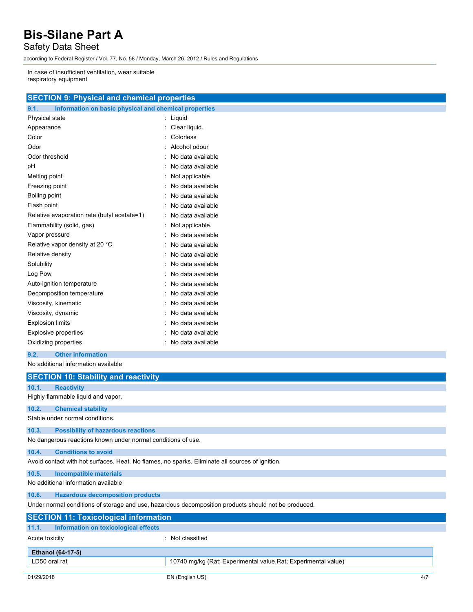Safety Data Sheet

according to Federal Register / Vol. 77, No. 58 / Monday, March 26, 2012 / Rules and Regulations

In case of insufficient ventilation, wear suitable respiratory equipment

|      | <b>SECTION 9: Physical and chemical properties</b>    |
|------|-------------------------------------------------------|
| 9.1. | Information on basic physical and chemical properties |

| <b>A THE PRODUCED SHOW AND A THE CHAINS OF A THE PRODUCED SHOWS</b> |
|---------------------------------------------------------------------|
| Liquid                                                              |
| Clear liquid.                                                       |
| Colorless                                                           |
| Alcohol odour                                                       |
| No data available                                                   |
| No data available                                                   |
| Not applicable                                                      |
| No data available                                                   |
| No data available                                                   |
| No data available                                                   |
| No data available                                                   |
| Not applicable.                                                     |
| No data available                                                   |
| No data available                                                   |
| No data available                                                   |
| No data available                                                   |
| No data available                                                   |
| No data available                                                   |
| No data available                                                   |
| No data available                                                   |
| No data available                                                   |
| No data available                                                   |
| No data available                                                   |
| No data available                                                   |
|                                                                     |

#### **9.2. Other information**

No additional information available

|                | <b>SECTION 10: Stability and reactivity</b>                  |                                                                                                      |
|----------------|--------------------------------------------------------------|------------------------------------------------------------------------------------------------------|
| 10.1.          | <b>Reactivity</b>                                            |                                                                                                      |
|                | Highly flammable liquid and vapor.                           |                                                                                                      |
| 10.2.          | <b>Chemical stability</b>                                    |                                                                                                      |
|                | Stable under normal conditions.                              |                                                                                                      |
| 10.3.          | <b>Possibility of hazardous reactions</b>                    |                                                                                                      |
|                | No dangerous reactions known under normal conditions of use. |                                                                                                      |
| 10.4.          | <b>Conditions to avoid</b>                                   |                                                                                                      |
|                |                                                              | Avoid contact with hot surfaces. Heat. No flames, no sparks. Eliminate all sources of ignition.      |
| 10.5.          | Incompatible materials                                       |                                                                                                      |
|                | No additional information available                          |                                                                                                      |
| 10.6.          | <b>Hazardous decomposition products</b>                      |                                                                                                      |
|                |                                                              | Under normal conditions of storage and use, hazardous decomposition products should not be produced. |
|                | <b>SECTION 11: Toxicological information</b>                 |                                                                                                      |
| 11.1.          | Information on toxicological effects                         |                                                                                                      |
| Acute toxicity |                                                              | : Not classified                                                                                     |
|                | <b>Ethanol (64-17-5)</b>                                     |                                                                                                      |
| LD50 oral rat  |                                                              | 10740 mg/kg (Rat; Experimental value, Rat; Experimental value)                                       |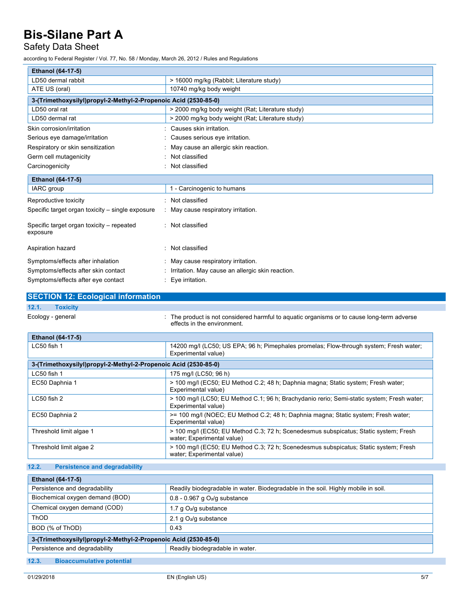# Safety Data Sheet

according to Federal Register / Vol. 77, No. 58 / Monday, March 26, 2012 / Rules and Regulations

| Ethanol (64-17-5)                                               |                                                                                                                           |
|-----------------------------------------------------------------|---------------------------------------------------------------------------------------------------------------------------|
| LD50 dermal rabbit                                              | > 16000 mg/kg (Rabbit; Literature study)                                                                                  |
| ATE US (oral)                                                   | 10740 mg/kg body weight                                                                                                   |
| 3-(Trimethoxysilyl)propyl-2-Methyl-2-Propenoic Acid (2530-85-0) |                                                                                                                           |
| LD50 oral rat                                                   | > 2000 mg/kg body weight (Rat; Literature study)                                                                          |
| LD50 dermal rat                                                 | > 2000 mg/kg body weight (Rat; Literature study)                                                                          |
| Skin corrosion/irritation                                       | : Causes skin irritation.                                                                                                 |
| Serious eye damage/irritation                                   | : Causes serious eye irritation.                                                                                          |
| Respiratory or skin sensitization                               | May cause an allergic skin reaction.                                                                                      |
| Germ cell mutagenicity                                          | Not classified                                                                                                            |
| Carcinogenicity                                                 | : Not classified                                                                                                          |
| Ethanol (64-17-5)                                               |                                                                                                                           |
| IARC group                                                      | 1 - Carcinogenic to humans                                                                                                |
| Reproductive toxicity                                           | : Not classified                                                                                                          |
| Specific target organ toxicity - single exposure                | : May cause respiratory irritation.                                                                                       |
| Specific target organ toxicity - repeated<br>exposure           | : Not classified                                                                                                          |
| Aspiration hazard                                               | : Not classified                                                                                                          |
| Symptoms/effects after inhalation                               | : May cause respiratory irritation.                                                                                       |
| Symptoms/effects after skin contact                             | : Irritation. May cause an allergic skin reaction.                                                                        |
| Symptoms/effects after eye contact                              | : Eye irritation.                                                                                                         |
| <b>SECTION 12: Ecological information</b>                       |                                                                                                                           |
| 12.1.<br><b>Toxicity</b>                                        |                                                                                                                           |
| Ecology - general                                               |                                                                                                                           |
|                                                                 | : The product is not considered harmful to aquatic organisms or to cause long-term adverse<br>effects in the environment. |
| Ethanol (64-17-5)                                               |                                                                                                                           |
| LC50 fish 1                                                     | 14200 mg/l (LC50; US EPA; 96 h; Pimephales promelas; Flow-through system; Fresh water;<br>Experimental value)             |
| 3-(Trimethoxysilyl)propyl-2-Methyl-2-Propenoic Acid (2530-85-0) |                                                                                                                           |
| LC50 fish 1                                                     | 175 mg/l (LC50; 96 h)                                                                                                     |
| EC50 Daphnia 1                                                  | > 100 mg/l (EC50; EU Method C.2; 48 h; Daphnia magna; Static system; Fresh water;<br>Experimental value)                  |
| LC50 fish 2                                                     | > 100 mg/l (LC50; EU Method C.1; 96 h; Brachydanio rerio; Semi-static system; Fresh water;<br>Experimental value)         |
| EC50 Daphnia 2                                                  | >= 100 mg/l (NOEC; EU Method C.2; 48 h; Daphnia magna; Static system; Fresh water;<br>Experimental value)                 |
| Threshold limit algae 1                                         | > 100 mg/l (EC50; EU Method C.3; 72 h; Scenedesmus subspicatus; Static system; Fresh<br>water; Experimental value)        |

| <b>Ethanol (64-17-5)</b>                                        |                                                                                   |  |  |
|-----------------------------------------------------------------|-----------------------------------------------------------------------------------|--|--|
| Persistence and degradability                                   | Readily biodegradable in water. Biodegradable in the soil. Highly mobile in soil. |  |  |
| Biochemical oxygen demand (BOD)                                 | $0.8 - 0.967$ g $O2/g$ substance                                                  |  |  |
| Chemical oxygen demand (COD)                                    | 1.7 $qO2/q$ substance                                                             |  |  |
| ThOD                                                            | 2.1 g $O2/g$ substance                                                            |  |  |
| BOD (% of ThOD)                                                 | 0.43                                                                              |  |  |
| 3-(Trimethoxysilyl)propyl-2-Methyl-2-Propenoic Acid (2530-85-0) |                                                                                   |  |  |
| Persistence and degradability                                   | Readily biodegradable in water.                                                   |  |  |
|                                                                 |                                                                                   |  |  |

**12.3. Bioaccumulative potential**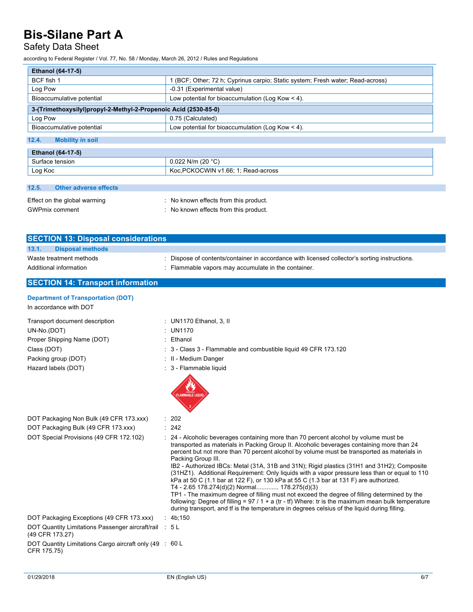## Safety Data Sheet

according to Federal Register / Vol. 77, No. 58 / Monday, March 26, 2012 / Rules and Regulations

| <b>Ethanol (64-17-5)</b>                                                           |                                                                              |  |  |  |
|------------------------------------------------------------------------------------|------------------------------------------------------------------------------|--|--|--|
| BCF fish 1                                                                         | (BCF; Other; 72 h; Cyprinus carpio; Static system; Fresh water; Read-across) |  |  |  |
| Log Pow                                                                            | -0.31 (Experimental value)                                                   |  |  |  |
| Low potential for bioaccumulation (Log Kow $\leq$ 4).<br>Bioaccumulative potential |                                                                              |  |  |  |
| 3-(Trimethoxysilyl)propyl-2-Methyl-2-Propenoic Acid (2530-85-0)                    |                                                                              |  |  |  |
| Log Pow                                                                            | 0.75 (Calculated)                                                            |  |  |  |
| Bioaccumulative potential                                                          | Low potential for bioaccumulation (Log Kow $<$ 4).                           |  |  |  |
| 12.4.<br><b>Mobility in soil</b>                                                   |                                                                              |  |  |  |
| Ethanol (64-17-5)                                                                  |                                                                              |  |  |  |
| Surface tension                                                                    | 0.022 N/m (20 $°C$ )                                                         |  |  |  |
| Log Koc                                                                            | Koc. PCKOCWIN v1.66: 1: Read-across                                          |  |  |  |

#### **12.5. Other adverse effects**

| Effect on the global warming | : No known effects from this product. |
|------------------------------|---------------------------------------|
| <b>GWPmix comment</b>        | : No known effects from this product. |

| <b>SECTION 13: Disposal considerations</b>        |                                                                                                                                                  |  |  |  |  |
|---------------------------------------------------|--------------------------------------------------------------------------------------------------------------------------------------------------|--|--|--|--|
| 13.1.<br><b>Disposal methods</b>                  |                                                                                                                                                  |  |  |  |  |
| Waste treatment methods<br>Additional information | Dispose of contents/container in accordance with licensed collector's sorting instructions.<br>Flammable vapors may accumulate in the container. |  |  |  |  |
| <b>SECTION 14: Transport information</b>          |                                                                                                                                                  |  |  |  |  |

### **Department of Transportation (DOT)**

In accordance with DOT

| Transport document description | : UN1170 Ethanol, $3$ , II                                      |
|--------------------------------|-----------------------------------------------------------------|
| UN-No.(DOT)                    | : UN1170                                                        |
| Proper Shipping Name (DOT)     | Ethanol                                                         |
| Class (DOT)                    | : 3 - Class 3 - Flammable and combustible liquid 49 CFR 173.120 |
| Packing group (DOT)            | : II - Medium Danger                                            |
| Hazard labels (DOT)            | : 3 - Flammable liquid                                          |
|                                |                                                                 |

| DOT Packaging Non Bulk (49 CFR 173.xxx) | : 202  |
|-----------------------------------------|--------|
| DOT Packaging Bulk (49 CFR 173.xxx)     | : 242  |
| DOT Special Provisions (49 CFR 172.102) | : 24 - |

 $: 242$ : 24 - Alcoholic beverages containing more than 70 percent alcohol by volume must be transported as materials in Packing Group II. Alcoholic beverages containing more than 24 percent but not more than 70 percent alcohol by volume must be transported as materials in Packing Group III. IB2 - Authorized IBCs: Metal (31A, 31B and 31N); Rigid plastics (31H1 and 31H2); Composite (31HZ1). Additional Requirement: Only liquids with a vapor pressure less than or equal to 110 kPa at 50 C (1.1 bar at 122 F), or 130 kPa at 55 C (1.3 bar at 131 F) are authorized. T4 - 2.65 178.274(d)(2) Normal............. 178.275(d)(3) TP1 - The maximum degree of filling must not exceed the degree of filling determined by the following: Degree of filling =  $97 / 1 + a$  (tr - tf) Where: tr is the maximum mean bulk temperature during transport, and tf is the temperature in degrees celsius of the liquid during filling. DOT Packaging Exceptions (49 CFR 173.xxx) : 4b;150

DOT Quantity Limitations Passenger aircraft/rail : 5 L (49 CFR 173.27)

DOT Quantity Limitations Cargo aircraft only (49 : 60 LCFR 175.75)